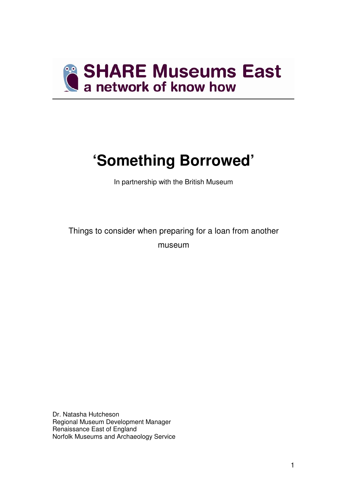

# **'Something Borrowed'**

In partnership with the British Museum

Things to consider when preparing for a loan from another museum

Dr. Natasha Hutcheson Regional Museum Development Manager Renaissance East of England Norfolk Museums and Archaeology Service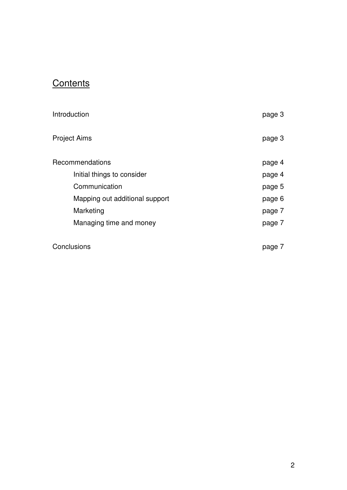# **Contents**

| Introduction                   | page 3 |
|--------------------------------|--------|
| <b>Project Aims</b>            | page 3 |
| Recommendations                | page 4 |
| Initial things to consider     | page 4 |
| Communication                  | page 5 |
| Mapping out additional support | page 6 |
| Marketing                      | page 7 |
| Managing time and money        | page 7 |
| Conclusions                    | page 7 |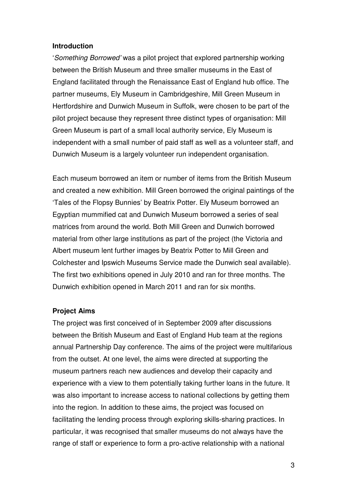#### **Introduction**

'Something Borrowed' was a pilot project that explored partnership working between the British Museum and three smaller museums in the East of England facilitated through the Renaissance East of England hub office. The partner museums, Ely Museum in Cambridgeshire, Mill Green Museum in Hertfordshire and Dunwich Museum in Suffolk, were chosen to be part of the pilot project because they represent three distinct types of organisation: Mill Green Museum is part of a small local authority service, Ely Museum is independent with a small number of paid staff as well as a volunteer staff, and Dunwich Museum is a largely volunteer run independent organisation.

Each museum borrowed an item or number of items from the British Museum and created a new exhibition. Mill Green borrowed the original paintings of the 'Tales of the Flopsy Bunnies' by Beatrix Potter. Ely Museum borrowed an Egyptian mummified cat and Dunwich Museum borrowed a series of seal matrices from around the world. Both Mill Green and Dunwich borrowed material from other large institutions as part of the project (the Victoria and Albert museum lent further images by Beatrix Potter to Mill Green and Colchester and Ipswich Museums Service made the Dunwich seal available). The first two exhibitions opened in July 2010 and ran for three months. The Dunwich exhibition opened in March 2011 and ran for six months.

#### **Project Aims**

The project was first conceived of in September 2009 after discussions between the British Museum and East of England Hub team at the regions annual Partnership Day conference. The aims of the project were multifarious from the outset. At one level, the aims were directed at supporting the museum partners reach new audiences and develop their capacity and experience with a view to them potentially taking further loans in the future. It was also important to increase access to national collections by getting them into the region. In addition to these aims, the project was focused on facilitating the lending process through exploring skills-sharing practices. In particular, it was recognised that smaller museums do not always have the range of staff or experience to form a pro-active relationship with a national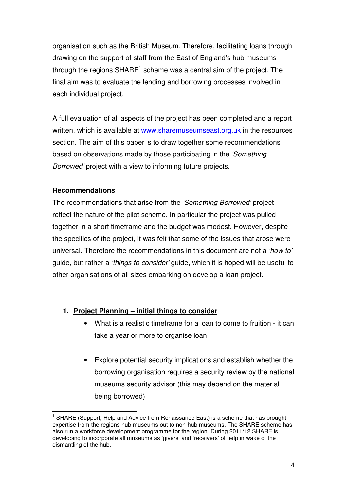organisation such as the British Museum. Therefore, facilitating loans through drawing on the support of staff from the East of England's hub museums through the regions  $\mathsf{SHARE}^1$  scheme was a central aim of the project. The final aim was to evaluate the lending and borrowing processes involved in each individual project.

A full evaluation of all aspects of the project has been completed and a report written, which is available at www.sharemuseumseast.org.uk in the resources section. The aim of this paper is to draw together some recommendations based on observations made by those participating in the 'Something Borrowed' project with a view to informing future projects.

## **Recommendations**

 $\overline{1}$ 

The recommendations that arise from the 'Something Borrowed' project reflect the nature of the pilot scheme. In particular the project was pulled together in a short timeframe and the budget was modest. However, despite the specifics of the project, it was felt that some of the issues that arose were universal. Therefore the recommendations in this document are not a 'how to' guide, but rather a 'things to consider' guide, which it is hoped will be useful to other organisations of all sizes embarking on develop a loan project.

## **1. Project Planning – initial things to consider**

- What is a realistic timeframe for a loan to come to fruition it can take a year or more to organise loan
- Explore potential security implications and establish whether the borrowing organisation requires a security review by the national museums security advisor (this may depend on the material being borrowed)

<sup>1</sup> SHARE (Support, Help and Advice from Renaissance East) is a scheme that has brought expertise from the regions hub museums out to non-hub museums. The SHARE scheme has also run a workforce development programme for the region. During 2011/12 SHARE is developing to incorporate all museums as 'givers' and 'receivers' of help in wake of the dismantling of the hub.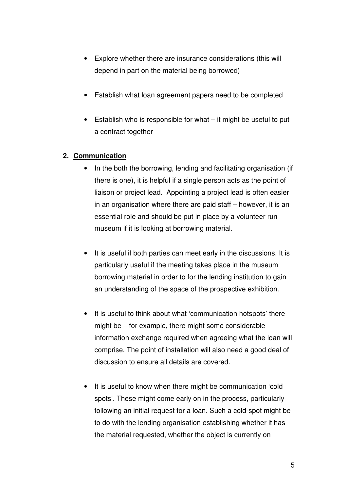- Explore whether there are insurance considerations (this will depend in part on the material being borrowed)
- Establish what loan agreement papers need to be completed
- Establish who is responsible for what it might be useful to put a contract together

## **2. Communication**

- In the both the borrowing, lending and facilitating organisation (if there is one), it is helpful if a single person acts as the point of liaison or project lead. Appointing a project lead is often easier in an organisation where there are paid staff – however, it is an essential role and should be put in place by a volunteer run museum if it is looking at borrowing material.
- It is useful if both parties can meet early in the discussions. It is particularly useful if the meeting takes place in the museum borrowing material in order to for the lending institution to gain an understanding of the space of the prospective exhibition.
- It is useful to think about what 'communication hotspots' there might be – for example, there might some considerable information exchange required when agreeing what the loan will comprise. The point of installation will also need a good deal of discussion to ensure all details are covered.
- It is useful to know when there might be communication 'cold spots'. These might come early on in the process, particularly following an initial request for a loan. Such a cold-spot might be to do with the lending organisation establishing whether it has the material requested, whether the object is currently on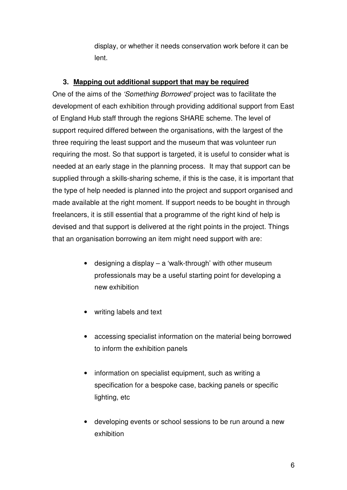display, or whether it needs conservation work before it can be lent.

# **3. Mapping out additional support that may be required**

One of the aims of the 'Something Borrowed' project was to facilitate the development of each exhibition through providing additional support from East of England Hub staff through the regions SHARE scheme. The level of support required differed between the organisations, with the largest of the three requiring the least support and the museum that was volunteer run requiring the most. So that support is targeted, it is useful to consider what is needed at an early stage in the planning process. It may that support can be supplied through a skills-sharing scheme, if this is the case, it is important that the type of help needed is planned into the project and support organised and made available at the right moment. If support needs to be bought in through freelancers, it is still essential that a programme of the right kind of help is devised and that support is delivered at the right points in the project. Things that an organisation borrowing an item might need support with are:

- designing a display a 'walk-through' with other museum professionals may be a useful starting point for developing a new exhibition
- writing labels and text
- accessing specialist information on the material being borrowed to inform the exhibition panels
- information on specialist equipment, such as writing a specification for a bespoke case, backing panels or specific lighting, etc
- developing events or school sessions to be run around a new exhibition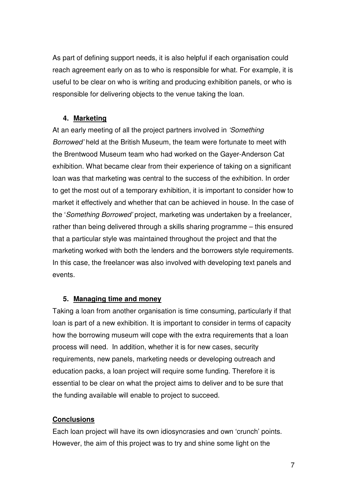As part of defining support needs, it is also helpful if each organisation could reach agreement early on as to who is responsible for what. For example, it is useful to be clear on who is writing and producing exhibition panels, or who is responsible for delivering objects to the venue taking the loan.

## **4. Marketing**

At an early meeting of all the project partners involved in 'Something Borrowed' held at the British Museum, the team were fortunate to meet with the Brentwood Museum team who had worked on the Gayer-Anderson Cat exhibition. What became clear from their experience of taking on a significant loan was that marketing was central to the success of the exhibition. In order to get the most out of a temporary exhibition, it is important to consider how to market it effectively and whether that can be achieved in house. In the case of the 'Something Borrowed' project, marketing was undertaken by a freelancer, rather than being delivered through a skills sharing programme – this ensured that a particular style was maintained throughout the project and that the marketing worked with both the lenders and the borrowers style requirements. In this case, the freelancer was also involved with developing text panels and events.

#### **5. Managing time and money**

Taking a loan from another organisation is time consuming, particularly if that loan is part of a new exhibition. It is important to consider in terms of capacity how the borrowing museum will cope with the extra requirements that a loan process will need. In addition, whether it is for new cases, security requirements, new panels, marketing needs or developing outreach and education packs, a loan project will require some funding. Therefore it is essential to be clear on what the project aims to deliver and to be sure that the funding available will enable to project to succeed.

## **Conclusions**

Each loan project will have its own idiosyncrasies and own 'crunch' points. However, the aim of this project was to try and shine some light on the